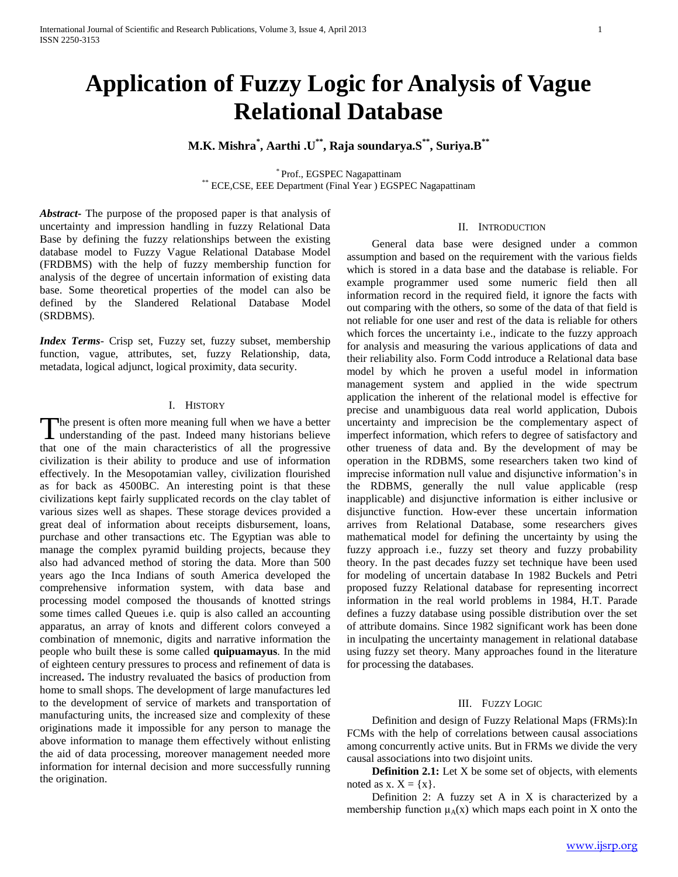# **Application of Fuzzy Logic for Analysis of Vague Relational Database**

# **M.K. Mishra\* , Aarthi .U\*\* , Raja soundarya.S\*\* , Suriya.B\*\***

\* Prof., EGSPEC Nagapattinam \*\* ECE,CSE, EEE Department (Final Year ) EGSPEC Nagapattinam

*Abstract***-** The purpose of the proposed paper is that analysis of uncertainty and impression handling in fuzzy Relational Data Base by defining the fuzzy relationships between the existing database model to Fuzzy Vague Relational Database Model (FRDBMS) with the help of fuzzy membership function for analysis of the degree of uncertain information of existing data base. Some theoretical properties of the model can also be defined by the Slandered Relational Database Model (SRDBMS).

*Index Terms*- Crisp set, Fuzzy set, fuzzy subset, membership function, vague, attributes, set, fuzzy Relationship, data, metadata, logical adjunct, logical proximity, data security.

#### I. HISTORY

The present is often more meaning full when we have a better The present is often more meaning full when we have a better understanding of the past. Indeed many historians believe that one of the main characteristics of all the progressive civilization is their ability to produce and use of information effectively. In the Mesopotamian valley, civilization flourished as for back as 4500BC. An interesting point is that these civilizations kept fairly supplicated records on the clay tablet of various sizes well as shapes. These storage devices provided a great deal of information about receipts disbursement, loans, purchase and other transactions etc. The Egyptian was able to manage the complex pyramid building projects, because they also had advanced method of storing the data. More than 500 years ago the Inca Indians of south America developed the comprehensive information system, with data base and processing model composed the thousands of knotted strings some times called Queues i.e. quip is also called an accounting apparatus, an array of knots and different colors conveyed a combination of mnemonic, digits and narrative information the people who built these is some called **quipuamayus**. In the mid of eighteen century pressures to process and refinement of data is increased**.** The industry revaluated the basics of production from home to small shops. The development of large manufactures led to the development of service of markets and transportation of manufacturing units, the increased size and complexity of these originations made it impossible for any person to manage the above information to manage them effectively without enlisting the aid of data processing, moreover management needed more information for internal decision and more successfully running the origination.

### II. INTRODUCTION

 General data base were designed under a common assumption and based on the requirement with the various fields which is stored in a data base and the database is reliable. For example programmer used some numeric field then all information record in the required field, it ignore the facts with out comparing with the others, so some of the data of that field is not reliable for one user and rest of the data is reliable for others which forces the uncertainty i.e., indicate to the fuzzy approach for analysis and measuring the various applications of data and their reliability also. Form Codd introduce a Relational data base model by which he proven a useful model in information management system and applied in the wide spectrum application the inherent of the relational model is effective for precise and unambiguous data real world application, Dubois uncertainty and imprecision be the complementary aspect of imperfect information, which refers to degree of satisfactory and other trueness of data and. By the development of may be operation in the RDBMS, some researchers taken two kind of imprecise information null value and disjunctive information"s in the RDBMS, generally the null value applicable (resp inapplicable) and disjunctive information is either inclusive or disjunctive function. How-ever these uncertain information arrives from Relational Database, some researchers gives mathematical model for defining the uncertainty by using the fuzzy approach i.e., fuzzy set theory and fuzzy probability theory. In the past decades fuzzy set technique have been used for modeling of uncertain database In 1982 Buckels and Petri proposed fuzzy Relational database for representing incorrect information in the real world problems in 1984, H.T. Parade defines a fuzzy database using possible distribution over the set of attribute domains. Since 1982 significant work has been done in inculpating the uncertainty management in relational database using fuzzy set theory. Many approaches found in the literature for processing the databases.

#### III. FUZZY LOGIC

 Definition and design of Fuzzy Relational Maps (FRMs):In FCMs with the help of correlations between causal associations among concurrently active units. But in FRMs we divide the very causal associations into two disjoint units.

 **Definition 2.1:** Let X be some set of objects, with elements noted as  $x. X = \{x\}.$ 

 Definition 2: A fuzzy set A in X is characterized by a membership function  $\mu_A(x)$  which maps each point in X onto the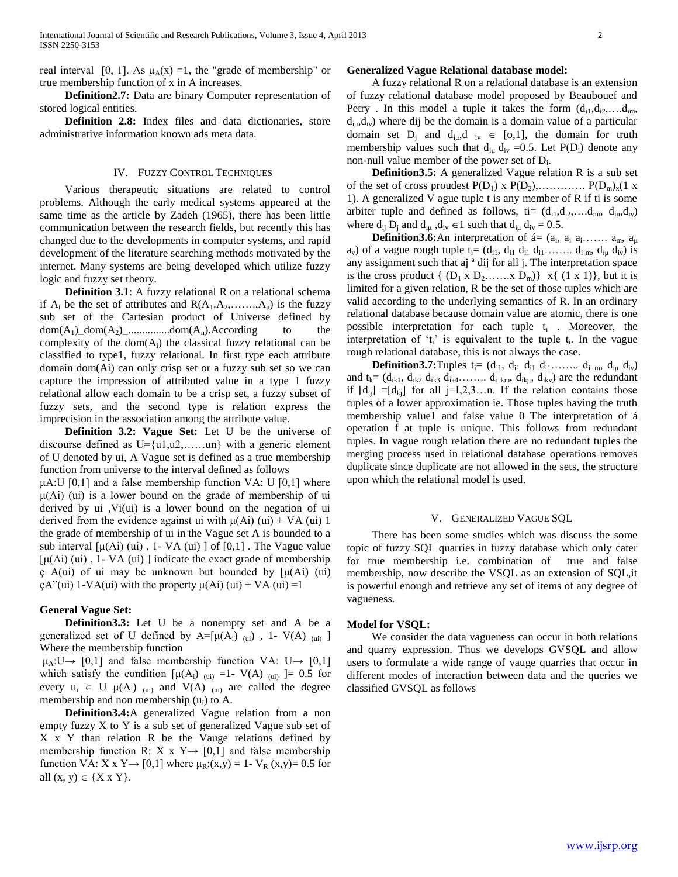real interval [0, 1]. As  $\mu_A(x) = 1$ , the "grade of membership" or true membership function of x in A increases.

 **Definition2.7:** Data are binary Computer representation of stored logical entities.

 **Definition 2.8:** Index files and data dictionaries, store administrative information known ads meta data.

#### IV. FUZZY CONTROL TECHNIQUES

 Various therapeutic situations are related to control problems. Although the early medical systems appeared at the same time as the article by Zadeh (1965), there has been little communication between the research fields, but recently this has changed due to the developments in computer systems, and rapid development of the literature searching methods motivated by the internet. Many systems are being developed which utilize fuzzy logic and fuzzy set theory.

**Definition 3.1**: A fuzzy relational R on a relational schema if  $A_i$  be the set of attributes and  $R(A_1, A_2, \ldots, A_n)$  is the fuzzy sub set of the Cartesian product of Universe defined by  $dom(A_1)_{\text{dom}(A_2)_{\text{dom}(A_n)}}$ .  $dom(A_n)$ . According to the complexity of the  $dom(A_i)$  the classical fuzzy relational can be classified to type1, fuzzy relational. In first type each attribute domain dom(Ai) can only crisp set or a fuzzy sub set so we can capture the impression of attributed value in a type 1 fuzzy relational allow each domain to be a crisp set, a fuzzy subset of fuzzy sets, and the second type is relation express the imprecision in the association among the attribute value.

 **Definition 3.2: Vague Set:** Let U be the universe of discourse defined as  $U = \{u1, u2, \ldots, un\}$  with a generic element of U denoted by ui, A Vague set is defined as a true membership function from universe to the interval defined as follows

 $\mu$ A:U [0,1] and a false membership function VA: U [0,1] where  $\mu$ (Ai) (ui) is a lower bound on the grade of membership of ui derived by ui ,Vi(ui) is a lower bound on the negation of ui derived from the evidence against ui with  $\mu$ (Ai) (ui) + VA (ui) 1 the grade of membership of ui in the Vague set A is bounded to a sub interval  $\lceil \mu(Ai) \cdot (ui) \rceil$ , 1- VA  $\lceil \mu(i) \rceil$  of  $\lceil 0,1 \rceil$ . The Vague value  $[\mu(Ai)$  (ui), 1- VA (ui) ] indicate the exact grade of membership ç A(ui) of ui may be unknown but bounded by [μ(Ai) (ui)  $\mathcal{L}$  (ai) 1-VA(ui) with the property μ(Ai) (ui) + VA (ui) =1

#### **General Vague Set:**

 **Definition3.3:** Let U be a nonempty set and A be a generalized set of U defined by  $A=[\mu(A_i)]_{(ui)}$ , 1- V(A)  $_{(ui)}$ ] Where the membership function

 $\mu_A: U \rightarrow [0,1]$  and false membership function VA:  $U \rightarrow [0,1]$ which satisfy the condition  $[\mu(A_i)]_{(ui)} =1$ - V(A)  $(i)$  = 0.5 for every  $u_i \in U$   $\mu(A_i)$  (ui) and  $V(A)$  (ui) are called the degree membership and non membership  $(u_i)$  to A.

 **Definition3.4:**A generalized Vague relation from a non empty fuzzy X to Y is a sub set of generalized Vague sub set of X x Y than relation R be the Vauge relations defined by membership function R: X x Y  $\rightarrow$  [0,1] and false membership function VA: X x Y  $\rightarrow$  [0,1] where  $\mu_R$ :(x,y) = 1- V<sub>R</sub> (x,y) = 0.5 for all  $(x, y) \in \{X \times Y\}.$ 

#### **Generalized Vague Relational database model:**

 A fuzzy relational R on a relational database is an extension of fuzzy relational database model proposed by Beaubouef and Petry . In this model a tuple it takes the form  $(d_{i1}, d_{i2}, \ldots, d_{im})$ ,  $d_{\mu}$ ,  $d_{\nu}$ ) where dij be the domain is a domain value of a particular domain set  $D_j$  and  $d_{i\mu}$ ,  $d_{i\nu} \in [0,1]$ , the domain for truth membership values such that  $d_{iu} d_{iv} = 0.5$ . Let  $P(D_i)$  denote any non-null value member of the power set of D<sub>i</sub>.

 **Definition3.5:** A generalized Vague relation R is a sub set of the set of cross proudest  $P(D_1)$  x  $P(D_2),$  ...............  $P(D_m)_x(1 \times$ 1). A generalized V ague tuple t is any member of R if ti is some arbiter tuple and defined as follows, ti=  $(d_{i1}, d_{i2}, \ldots, d_{im}, d_{iu}, d_{iv})$ where  $d_{ij} D_i$  and  $d_{i\mu}$ ,  $d_{iv} \in 1$  such that  $d_{i\mu} d_{iv} = 0.5$ .

**Definition3.6:**An interpretation of  $\acute{a} = (a_i, a_i, a_i, \ldots, a_m, a_\mu)$  $a_v$ ) of a vague rough tuple  $t_i = (d_{i1}, d_{i1} d_{i1} d_{i1} \ldots \ldots d_{i m}, d_{i\mu} d_{i\nu})$  is any assignment such that aj ª dij for all j. The interpretation space is the cross product  $\{ (D_1 \times D_2, \ldots, X D_m) \}$   $x \{ (1 \times 1) \}$ , but it is limited for a given relation, R be the set of those tuples which are valid according to the underlying semantics of R. In an ordinary relational database because domain value are atomic, there is one possible interpretation for each tuple  $t_i$ . Moreover, the interpretation of ' $t_i$ ' is equivalent to the tuple  $t_i$ . In the vague rough relational database, this is not always the case.

**Definition3.7:**Tuples  $t_i = (d_{i1}, d_{i1} d_{i1} d_{i1} \ldots \ldots d_{i m}, d_{i\mu} d_{i\nu})$ and  $t_k = (d_{ik1}, d_{ik2} d_{ik3} d_{ik4} \ldots d_{ikm}, d_{ikm} d_{ikm})$  are the redundant if  $[d_{ii}] = [d_{ki}]$  for all j=I,2,3...n. If the relation contains those tuples of a lower approximation ie. Those tuples having the truth membership value1 and false value 0 The interpretation of á operation f at tuple is unique. This follows from redundant tuples. In vague rough relation there are no redundant tuples the merging process used in relational database operations removes duplicate since duplicate are not allowed in the sets, the structure upon which the relational model is used.

#### V. GENERALIZED VAGUE SQL

 There has been some studies which was discuss the some topic of fuzzy SQL quarries in fuzzy database which only cater for true membership i.e. combination of true and false membership, now describe the VSQL as an extension of SQL,it is powerful enough and retrieve any set of items of any degree of vagueness.

#### **Model for VSQL:**

 We consider the data vagueness can occur in both relations and quarry expression. Thus we develops GVSQL and allow users to formulate a wide range of vauge quarries that occur in different modes of interaction between data and the queries we classified GVSQL as follows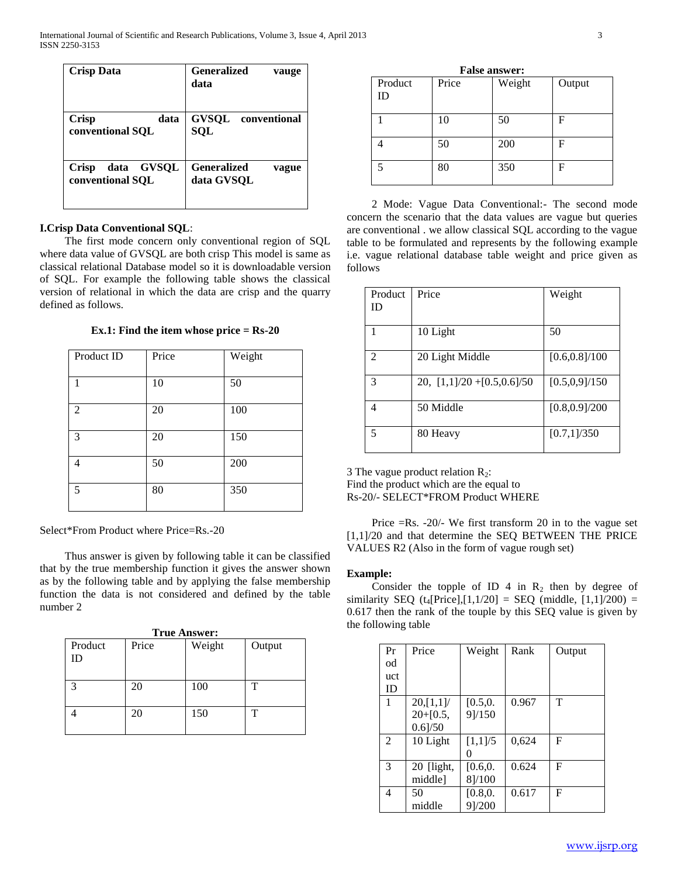| <b>Crisp Data</b> | <b>Generalized</b><br>vauge<br>data |
|-------------------|-------------------------------------|
| <b>Crisp</b>      | <b>GVSQL</b>                        |
| data              | conventional                        |
| conventional SOL  | <b>SOL</b>                          |
| data GVSQL        | <b>Generalized</b>                  |
| <b>Crisp</b>      | vague                               |
| conventional SQL  | data GVSQL                          |

# **I.Crisp Data Conventional SQL**:

 The first mode concern only conventional region of SQL where data value of GVSQL are both crisp This model is same as classical relational Database model so it is downloadable version of SQL. For example the following table shows the classical version of relational in which the data are crisp and the quarry defined as follows.

**Ex.1: Find the item whose price = Rs-20**

| Product ID     | Price | Weight |
|----------------|-------|--------|
|                |       |        |
|                |       |        |
| $\mathbf{1}$   | 10    | 50     |
|                |       |        |
| $\overline{2}$ | 20    | 100    |
|                |       |        |
| 3              | 20    | 150    |
|                |       |        |
| 4              | 50    | 200    |
|                |       |        |
| 5              | 80    | 350    |
|                |       |        |
|                |       |        |

Select\*From Product where Price=Rs.-20

 Thus answer is given by following table it can be classified that by the true membership function it gives the answer shown as by the following table and by applying the false membership function the data is not considered and defined by the table number 2

| <b>True Answer:</b> |       |        |        |  |
|---------------------|-------|--------|--------|--|
| Product<br>ID       | Price | Weight | Output |  |
| $\mathbf{R}$        | 20    | 100    | т      |  |
|                     | 20    | 150    | т      |  |

|  | <b>False answer:</b> |
|--|----------------------|
|--|----------------------|

| Product<br>ID | Price | Weight | Output |
|---------------|-------|--------|--------|
|               | 10    | 50     | F      |
|               | 50    | 200    | F      |
|               | 80    | 350    | F      |

 2 Mode: Vague Data Conventional:- The second mode concern the scenario that the data values are vague but queries are conventional . we allow classical SQL according to the vague table to be formulated and represents by the following example i.e. vague relational database table weight and price given as follows

| Product | Price                         | Weight         |
|---------|-------------------------------|----------------|
| ID      |                               |                |
|         |                               |                |
|         |                               |                |
| 1       | 10 Light                      | 50             |
|         |                               |                |
| 2       | 20 Light Middle               | [0.6, 0.8]/100 |
|         |                               |                |
| 3       |                               | [0.5, 0.9]/150 |
|         | 20, $[1,1]/20 + [0.5,0.6]/50$ |                |
|         |                               |                |
| 4       | 50 Middle                     | [0.8, 0.9]/200 |
|         |                               |                |
|         |                               |                |
| 5       | 80 Heavy                      | [0.7,1]/350    |
|         |                               |                |

3 The vague product relation  $R_2$ :

Find the product which are the equal to

Rs-20/- SELECT\*FROM Product WHERE

 Price =Rs. -20/- We first transform 20 in to the vague set [1,1]/20 and that determine the SEQ BETWEEN THE PRICE VALUES R2 (Also in the form of vague rough set)

# **Example:**

Consider the topple of ID 4 in  $R_2$  then by degree of similarity SEQ  $(t_4[Price],[1,1/20] = SEQ$  (middle,  $[1,1]/200) =$ 0.617 then the rank of the touple by this SEQ value is given by the following table

| Pr  | Price      | Weight   | Rank  | Output |
|-----|------------|----------|-------|--------|
| od  |            |          |       |        |
| uct |            |          |       |        |
| ID  |            |          |       |        |
| 1   | 20, [1,1]  | [0.5, 0. | 0.967 | т      |
|     | $20+[0.5,$ | 9]/150   |       |        |
|     | $0.6$ ]/50 |          |       |        |
| 2   | 10 Light   | [1,1]/5  | 0,624 | F      |
|     |            |          |       |        |
| 3   | 20 [light, | [0.6, 0. | 0.624 | F      |
|     | middlel    | 8]/100   |       |        |
| 4   | 50         | [0.8, 0. | 0.617 | F      |
|     | middle     | 9]/200   |       |        |